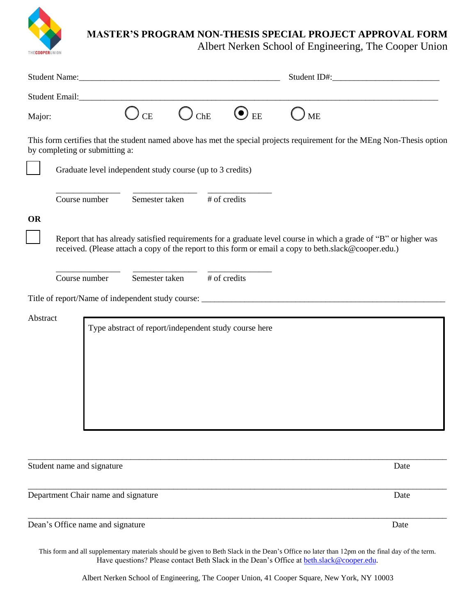

## **MASTER'S PROGRAM NON-THESIS SPECIAL PROJECT APPROVAL FORM**

Albert Nerken School of Engineering, The Cooper Union

| Student Email:                                                                                                                                                                                                                         |                |                                                       |               |           |
|----------------------------------------------------------------------------------------------------------------------------------------------------------------------------------------------------------------------------------------|----------------|-------------------------------------------------------|---------------|-----------|
| Major:                                                                                                                                                                                                                                 | <b>CE</b>      | $O$ ChE                                               | $\bigodot$ ee | <b>ME</b> |
| This form certifies that the student named above has met the special projects requirement for the MEng Non-Thesis option<br>by completing or submitting a:                                                                             |                |                                                       |               |           |
| Graduate level independent study course (up to 3 credits)                                                                                                                                                                              |                |                                                       |               |           |
| Course number                                                                                                                                                                                                                          |                | Semester taken                                        | # of credits  |           |
| <b>OR</b><br>Report that has already satisfied requirements for a graduate level course in which a grade of "B" or higher was<br>received. (Please attach a copy of the report to this form or email a copy to beth.slack@cooper.edu.) |                |                                                       |               |           |
| Course number                                                                                                                                                                                                                          | Semester taken |                                                       | # of credits  |           |
|                                                                                                                                                                                                                                        |                |                                                       |               |           |
| Abstract                                                                                                                                                                                                                               |                | Type abstract of report/independent study course here |               |           |
| Student name and signature                                                                                                                                                                                                             |                |                                                       |               | Date      |
| Department Chair name and signature                                                                                                                                                                                                    |                |                                                       |               | Date      |
| Dean's Office name and signature                                                                                                                                                                                                       |                |                                                       |               | Date      |

This form and all supplementary materials should be given to Beth Slack in the Dean's Office no later than 12pm on the final day of the term. Have questions? Please contact Beth Slack in the Dean's Office at beth.[slack@cooper.edu](mailto:bslack@cooper.edu).

Albert Nerken School of Engineering, The Cooper Union, 41 Cooper Square, New York, NY 10003